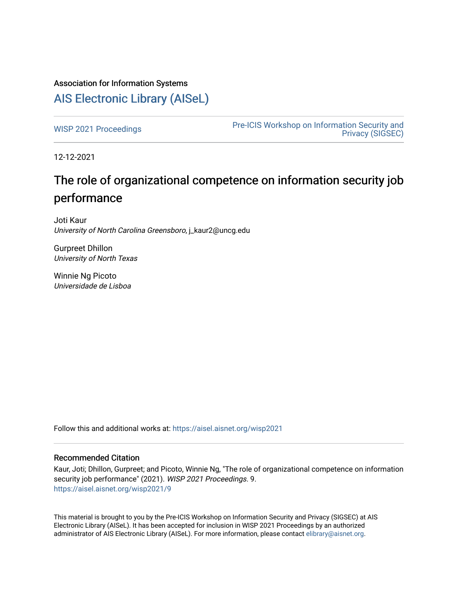# Association for Information Systems

# [AIS Electronic Library \(AISeL\)](https://aisel.aisnet.org/)

[WISP 2021 Proceedings](https://aisel.aisnet.org/wisp2021) **Pre-ICIS Workshop on Information Security and** [Privacy \(SIGSEC\)](https://aisel.aisnet.org/sigsec) 

12-12-2021

# The role of organizational competence on information security job performance

Joti Kaur University of North Carolina Greensboro, j\_kaur2@uncg.edu

Gurpreet Dhillon University of North Texas

Winnie Ng Picoto Universidade de Lisboa

Follow this and additional works at: [https://aisel.aisnet.org/wisp2021](https://aisel.aisnet.org/wisp2021?utm_source=aisel.aisnet.org%2Fwisp2021%2F9&utm_medium=PDF&utm_campaign=PDFCoverPages)

#### Recommended Citation

Kaur, Joti; Dhillon, Gurpreet; and Picoto, Winnie Ng, "The role of organizational competence on information security job performance" (2021). WISP 2021 Proceedings. 9. [https://aisel.aisnet.org/wisp2021/9](https://aisel.aisnet.org/wisp2021/9?utm_source=aisel.aisnet.org%2Fwisp2021%2F9&utm_medium=PDF&utm_campaign=PDFCoverPages)

This material is brought to you by the Pre-ICIS Workshop on Information Security and Privacy (SIGSEC) at AIS Electronic Library (AISeL). It has been accepted for inclusion in WISP 2021 Proceedings by an authorized administrator of AIS Electronic Library (AISeL). For more information, please contact [elibrary@aisnet.org.](mailto:elibrary@aisnet.org%3E)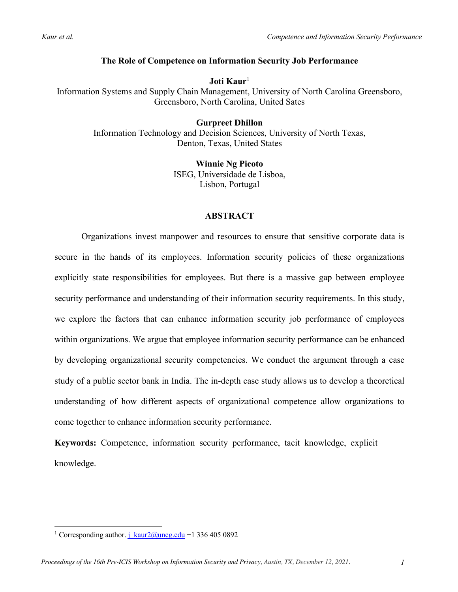## **The Role of Competence on Information Security Job Performance**

**Joti Kaur**<sup>1</sup> Information Systems and Supply Chain Management, University of North Carolina Greensboro, Greensboro, North Carolina, United Sates

#### **Gurpreet Dhillon** Information Technology and Decision Sciences, University of North Texas, Denton, Texas, United States

**Winnie Ng Picoto** ISEG, Universidade de Lisboa, Lisbon, Portugal

## **ABSTRACT**

Organizations invest manpower and resources to ensure that sensitive corporate data is secure in the hands of its employees. Information security policies of these organizations explicitly state responsibilities for employees. But there is a massive gap between employee security performance and understanding of their information security requirements. In this study, we explore the factors that can enhance information security job performance of employees within organizations. We argue that employee information security performance can be enhanced by developing organizational security competencies. We conduct the argument through a case study of a public sector bank in India. The in-depth case study allows us to develop a theoretical understanding of how different aspects of organizational competence allow organizations to come together to enhance information security performance.

**Keywords:** Competence, information security performance, tacit knowledge, explicit knowledge.

<sup>&</sup>lt;sup>1</sup> Corresponding author. j\_kaur $2@$ uncg.edu +1 336 405 0892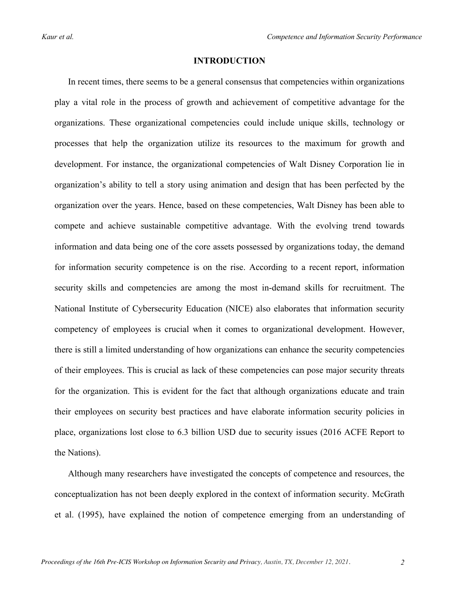#### **INTRODUCTION**

In recent times, there seems to be a general consensus that competencies within organizations play a vital role in the process of growth and achievement of competitive advantage for the organizations. These organizational competencies could include unique skills, technology or processes that help the organization utilize its resources to the maximum for growth and development. For instance, the organizational competencies of Walt Disney Corporation lie in organization's ability to tell a story using animation and design that has been perfected by the organization over the years. Hence, based on these competencies, Walt Disney has been able to compete and achieve sustainable competitive advantage. With the evolving trend towards information and data being one of the core assets possessed by organizations today, the demand for information security competence is on the rise. According to a recent report, information security skills and competencies are among the most in-demand skills for recruitment. The National Institute of Cybersecurity Education (NICE) also elaborates that information security competency of employees is crucial when it comes to organizational development. However, there is still a limited understanding of how organizations can enhance the security competencies of their employees. This is crucial as lack of these competencies can pose major security threats for the organization. This is evident for the fact that although organizations educate and train their employees on security best practices and have elaborate information security policies in place, organizations lost close to 6.3 billion USD due to security issues (2016 ACFE Report to the Nations).

Although many researchers have investigated the concepts of competence and resources, the conceptualization has not been deeply explored in the context of information security. McGrath et al. (1995), have explained the notion of competence emerging from an understanding of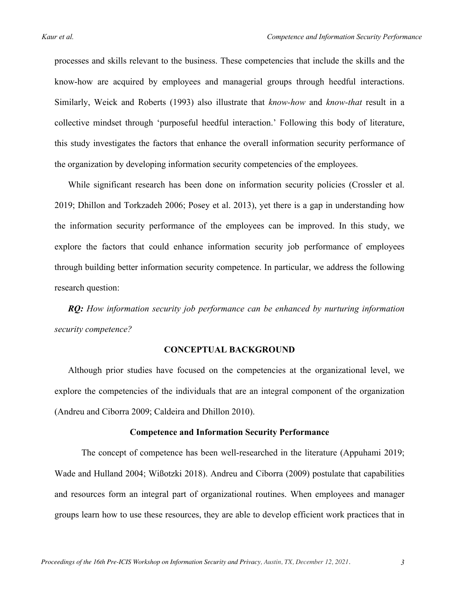processes and skills relevant to the business. These competencies that include the skills and the know-how are acquired by employees and managerial groups through heedful interactions. Similarly, Weick and Roberts (1993) also illustrate that *know-how* and *know-that* result in a collective mindset through 'purposeful heedful interaction.' Following this body of literature, this study investigates the factors that enhance the overall information security performance of the organization by developing information security competencies of the employees.

While significant research has been done on information security policies (Crossler et al. 2019; Dhillon and Torkzadeh 2006; Posey et al. 2013), yet there is a gap in understanding how the information security performance of the employees can be improved. In this study, we explore the factors that could enhance information security job performance of employees through building better information security competence. In particular, we address the following research question:

*RQ: How information security job performance can be enhanced by nurturing information security competence?*

#### **CONCEPTUAL BACKGROUND**

Although prior studies have focused on the competencies at the organizational level, we explore the competencies of the individuals that are an integral component of the organization (Andreu and Ciborra 2009; Caldeira and Dhillon 2010).

#### **Competence and Information Security Performance**

The concept of competence has been well-researched in the literature (Appuhami 2019; Wade and Hulland 2004; Wißotzki 2018). Andreu and Ciborra (2009) postulate that capabilities and resources form an integral part of organizational routines. When employees and manager groups learn how to use these resources, they are able to develop efficient work practices that in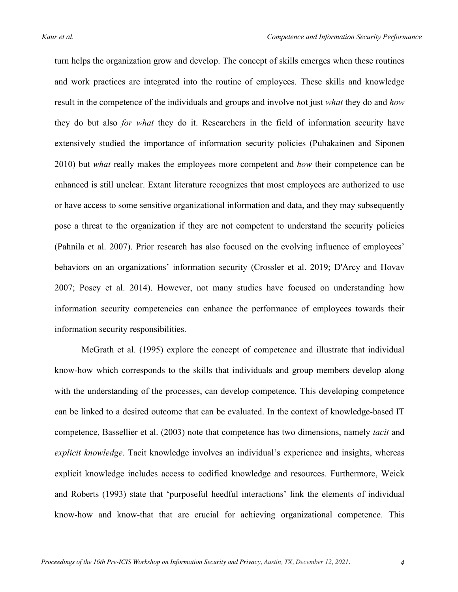turn helps the organization grow and develop. The concept of skills emerges when these routines and work practices are integrated into the routine of employees. These skills and knowledge result in the competence of the individuals and groups and involve not just *what* they do and *how* they do but also *for what* they do it. Researchers in the field of information security have extensively studied the importance of information security policies (Puhakainen and Siponen 2010) but *what* really makes the employees more competent and *how* their competence can be enhanced is still unclear. Extant literature recognizes that most employees are authorized to use or have access to some sensitive organizational information and data, and they may subsequently pose a threat to the organization if they are not competent to understand the security policies (Pahnila et al. 2007). Prior research has also focused on the evolving influence of employees' behaviors on an organizations' information security (Crossler et al. 2019; D'Arcy and Hovav 2007; Posey et al. 2014). However, not many studies have focused on understanding how information security competencies can enhance the performance of employees towards their information security responsibilities.

McGrath et al. (1995) explore the concept of competence and illustrate that individual know-how which corresponds to the skills that individuals and group members develop along with the understanding of the processes, can develop competence. This developing competence can be linked to a desired outcome that can be evaluated. In the context of knowledge-based IT competence, Bassellier et al. (2003) note that competence has two dimensions, namely *tacit* and *explicit knowledge*. Tacit knowledge involves an individual's experience and insights, whereas explicit knowledge includes access to codified knowledge and resources. Furthermore, Weick and Roberts (1993) state that 'purposeful heedful interactions' link the elements of individual know-how and know-that that are crucial for achieving organizational competence. This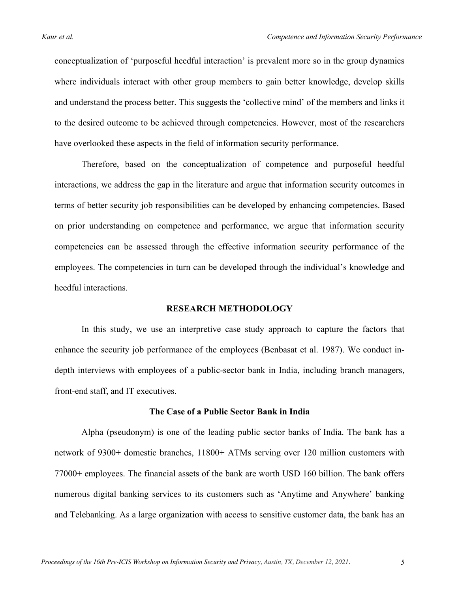conceptualization of 'purposeful heedful interaction' is prevalent more so in the group dynamics where individuals interact with other group members to gain better knowledge, develop skills and understand the process better. This suggests the 'collective mind' of the members and links it to the desired outcome to be achieved through competencies. However, most of the researchers have overlooked these aspects in the field of information security performance.

Therefore, based on the conceptualization of competence and purposeful heedful interactions, we address the gap in the literature and argue that information security outcomes in terms of better security job responsibilities can be developed by enhancing competencies. Based on prior understanding on competence and performance, we argue that information security competencies can be assessed through the effective information security performance of the employees. The competencies in turn can be developed through the individual's knowledge and heedful interactions.

#### **RESEARCH METHODOLOGY**

In this study, we use an interpretive case study approach to capture the factors that enhance the security job performance of the employees (Benbasat et al. 1987). We conduct indepth interviews with employees of a public-sector bank in India, including branch managers, front-end staff, and IT executives.

#### **The Case of a Public Sector Bank in India**

Alpha (pseudonym) is one of the leading public sector banks of India. The bank has a network of 9300+ domestic branches, 11800+ ATMs serving over 120 million customers with 77000+ employees. The financial assets of the bank are worth USD 160 billion. The bank offers numerous digital banking services to its customers such as 'Anytime and Anywhere' banking and Telebanking. As a large organization with access to sensitive customer data, the bank has an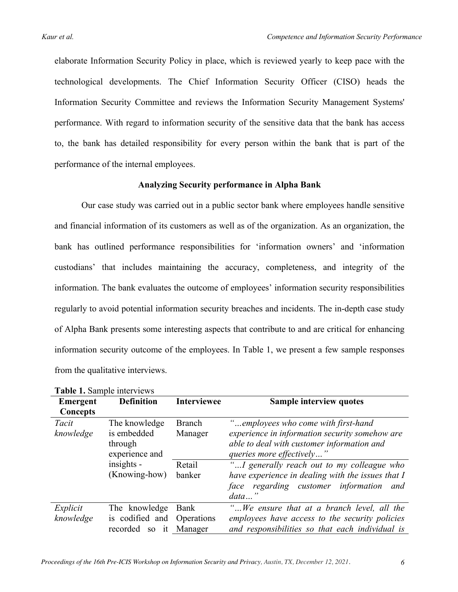elaborate Information Security Policy in place, which is reviewed yearly to keep pace with the technological developments. The Chief Information Security Officer (CISO) heads the Information Security Committee and reviews the Information Security Management Systems' performance. With regard to information security of the sensitive data that the bank has access to, the bank has detailed responsibility for every person within the bank that is part of the performance of the internal employees.

#### **Analyzing Security performance in Alpha Bank**

Our case study was carried out in a public sector bank where employees handle sensitive and financial information of its customers as well as of the organization. As an organization, the bank has outlined performance responsibilities for 'information owners' and 'information custodians' that includes maintaining the accuracy, completeness, and integrity of the information. The bank evaluates the outcome of employees' information security responsibilities regularly to avoid potential information security breaches and incidents. The in-depth case study of Alpha Bank presents some interesting aspects that contribute to and are critical for enhancing information security outcome of the employees. In Table 1, we present a few sample responses from the qualitative interviews.

| <b>Table 1.</b> Saliiple liitel views |                                                                  |                    |                                                                                                                                                                                        |  |
|---------------------------------------|------------------------------------------------------------------|--------------------|----------------------------------------------------------------------------------------------------------------------------------------------------------------------------------------|--|
| Emergent                              | <b>Definition</b>                                                | <b>Interviewee</b> | <b>Sample interview quotes</b>                                                                                                                                                         |  |
| Concepts                              |                                                                  |                    |                                                                                                                                                                                        |  |
| Tacit<br>knowledge                    | The knowledge<br>is embedded<br>through                          | Branch<br>Manager  | "employees who come with first-hand<br>experience in information security somehow are<br>able to deal with customer information and                                                    |  |
|                                       | experience and<br>insights -<br>(Knowing-how)                    | Retail<br>banker   | queries more effectively"<br>"I generally reach out to my colleague who<br>have experience in dealing with the issues that I<br>face regarding customer information<br>and<br>$data$ " |  |
| Explicit<br>knowledge                 | The knowledge<br>is codified and Operations<br>recorded<br>so it | Bank<br>Manager    | "We ensure that at a branch level, all the<br>employees have access to the security policies<br>and responsibilities so that each individual is                                        |  |

Table 1. Sample interviews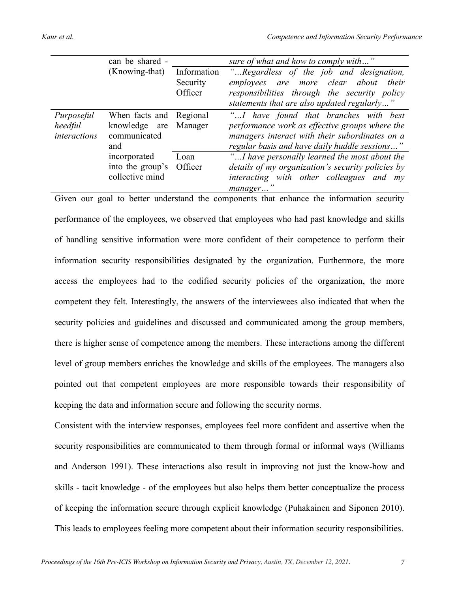|                                       | can be shared -                                                 |                                    | sure of what and how to comply with"                                                                                                                                                       |
|---------------------------------------|-----------------------------------------------------------------|------------------------------------|--------------------------------------------------------------------------------------------------------------------------------------------------------------------------------------------|
|                                       | (Knowing-that)                                                  | Information<br>Security<br>Officer | "Regardless of the job and designation,<br>employees are more clear about<br>their<br>responsibilities through the security policy<br>statements that are also updated regularly"          |
| Purposeful<br>heedful<br>interactions | When facts and Regional<br>knowledge are<br>communicated<br>and | Manager                            | "I have found that branches with best<br>performance work as effective groups where the<br>managers interact with their subordinates on a<br>regular basis and have daily huddle sessions" |
|                                       | incorporated<br>into the group's<br>collective mind             | Loan<br>Officer                    | "I have personally learned the most about the<br>details of my organization's security policies by<br>interacting with other colleagues and my<br>manager                                  |

Given our goal to better understand the components that enhance the information security performance of the employees, we observed that employees who had past knowledge and skills of handling sensitive information were more confident of their competence to perform their information security responsibilities designated by the organization. Furthermore, the more access the employees had to the codified security policies of the organization, the more competent they felt. Interestingly, the answers of the interviewees also indicated that when the security policies and guidelines and discussed and communicated among the group members, there is higher sense of competence among the members. These interactions among the different level of group members enriches the knowledge and skills of the employees. The managers also pointed out that competent employees are more responsible towards their responsibility of keeping the data and information secure and following the security norms.

Consistent with the interview responses, employees feel more confident and assertive when the security responsibilities are communicated to them through formal or informal ways (Williams and Anderson 1991). These interactions also result in improving not just the know-how and skills - tacit knowledge - of the employees but also helps them better conceptualize the process of keeping the information secure through explicit knowledge (Puhakainen and Siponen 2010). This leads to employees feeling more competent about their information security responsibilities.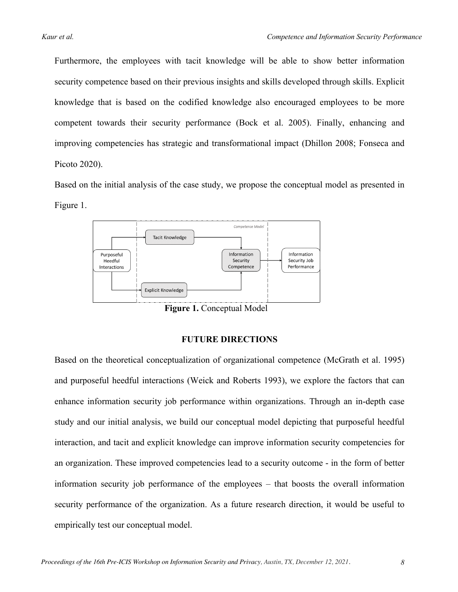Furthermore, the employees with tacit knowledge will be able to show better information security competence based on their previous insights and skills developed through skills. Explicit knowledge that is based on the codified knowledge also encouraged employees to be more competent towards their security performance (Bock et al. 2005). Finally, enhancing and improving competencies has strategic and transformational impact (Dhillon 2008; Fonseca and Picoto 2020).

Based on the initial analysis of the case study, we propose the conceptual model as presented in Figure 1.



**Figure 1.** Conceptual Model

#### **FUTURE DIRECTIONS**

Based on the theoretical conceptualization of organizational competence (McGrath et al. 1995) and purposeful heedful interactions (Weick and Roberts 1993), we explore the factors that can enhance information security job performance within organizations. Through an in-depth case study and our initial analysis, we build our conceptual model depicting that purposeful heedful interaction, and tacit and explicit knowledge can improve information security competencies for an organization. These improved competencies lead to a security outcome - in the form of better information security job performance of the employees – that boosts the overall information security performance of the organization. As a future research direction, it would be useful to empirically test our conceptual model.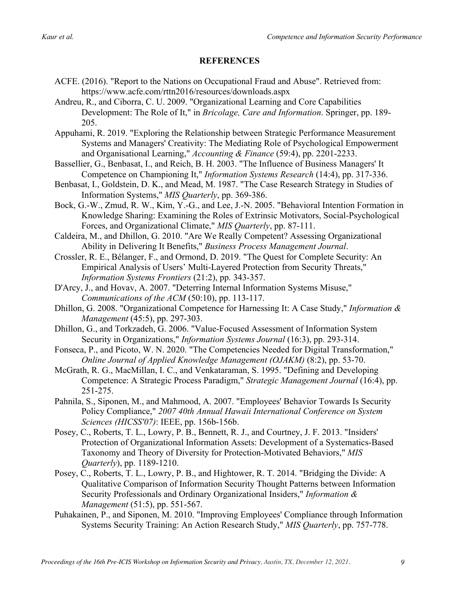# **REFERENCES**

- ACFE. (2016). "Report to the Nations on Occupational Fraud and Abuse". Retrieved from: https://www.acfe.com/rttn2016/resources/downloads.aspx
- Andreu, R., and Ciborra, C. U. 2009. "Organizational Learning and Core Capabilities Development: The Role of It," in *Bricolage, Care and Information*. Springer, pp. 189- 205.
- Appuhami, R. 2019. "Exploring the Relationship between Strategic Performance Measurement Systems and Managers' Creativity: The Mediating Role of Psychological Empowerment and Organisational Learning," *Accounting & Finance* (59:4), pp. 2201-2233.
- Bassellier, G., Benbasat, I., and Reich, B. H. 2003. "The Influence of Business Managers' It Competence on Championing It," *Information Systems Research* (14:4), pp. 317-336.
- Benbasat, I., Goldstein, D. K., and Mead, M. 1987. "The Case Research Strategy in Studies of Information Systems," *MIS Quarterly*, pp. 369-386.
- Bock, G.-W., Zmud, R. W., Kim, Y.-G., and Lee, J.-N. 2005. "Behavioral Intention Formation in Knowledge Sharing: Examining the Roles of Extrinsic Motivators, Social-Psychological Forces, and Organizational Climate," *MIS Quarterly*, pp. 87-111.
- Caldeira, M., and Dhillon, G. 2010. "Are We Really Competent? Assessing Organizational Ability in Delivering It Benefits," *Business Process Management Journal*.
- Crossler, R. E., Bélanger, F., and Ormond, D. 2019. "The Quest for Complete Security: An Empirical Analysis of Users' Multi-Layered Protection from Security Threats," *Information Systems Frontiers* (21:2), pp. 343-357.
- D'Arcy, J., and Hovav, A. 2007. "Deterring Internal Information Systems Misuse," *Communications of the ACM* (50:10), pp. 113-117.
- Dhillon, G. 2008. "Organizational Competence for Harnessing It: A Case Study," *Information & Management* (45:5), pp. 297-303.
- Dhillon, G., and Torkzadeh, G. 2006. "Value‐Focused Assessment of Information System Security in Organizations," *Information Systems Journal* (16:3), pp. 293-314.
- Fonseca, P., and Picoto, W. N. 2020. "The Competencies Needed for Digital Transformation," *Online Journal of Applied Knowledge Management (OJAKM)* (8:2), pp. 53-70.
- McGrath, R. G., MacMillan, I. C., and Venkataraman, S. 1995. "Defining and Developing Competence: A Strategic Process Paradigm," *Strategic Management Journal* (16:4), pp. 251-275.
- Pahnila, S., Siponen, M., and Mahmood, A. 2007. "Employees' Behavior Towards Is Security Policy Compliance," *2007 40th Annual Hawaii International Conference on System Sciences (HICSS'07)*: IEEE, pp. 156b-156b.
- Posey, C., Roberts, T. L., Lowry, P. B., Bennett, R. J., and Courtney, J. F. 2013. "Insiders' Protection of Organizational Information Assets: Development of a Systematics-Based Taxonomy and Theory of Diversity for Protection-Motivated Behaviors," *MIS Quarterly*), pp. 1189-1210.
- Posey, C., Roberts, T. L., Lowry, P. B., and Hightower, R. T. 2014. "Bridging the Divide: A Qualitative Comparison of Information Security Thought Patterns between Information Security Professionals and Ordinary Organizational Insiders," *Information & Management* (51:5), pp. 551-567.
- Puhakainen, P., and Siponen, M. 2010. "Improving Employees' Compliance through Information Systems Security Training: An Action Research Study," *MIS Quarterly*, pp. 757-778.